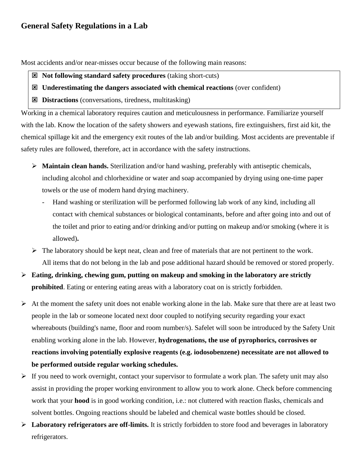## **General Safety Regulations in a Lab**

Most accidents and/or near-misses occur because of the following main reasons:

- **Not following standard safety procedures** (taking short-cuts)
- **Underestimating the dangers associated with chemical reactions** (over confident)
- **Distractions** (conversations, tiredness, multitasking)

Working in a chemical laboratory requires caution and meticulousness in performance. Familiarize yourself with the lab. Know the location of the safety showers and eyewash stations, fire extinguishers, first aid kit, the chemical spillage kit and the emergency exit routes of the lab and/or building. Most accidents are preventable if safety rules are followed, therefore, act in accordance with the safety instructions.

- **Maintain clean hands.** Sterilization and/or hand washing, preferably with antiseptic chemicals, including alcohol and chlorhexidine or water and soap accompanied by drying using one-time paper towels or the use of modern hand drying machinery.
	- Hand washing or sterilization will be performed following lab work of any kind, including all contact with chemical substances or biological contaminants, before and after going into and out of the toilet and prior to eating and/or drinking and/or putting on makeup and/or smoking (where it is allowed)**.**
- $\triangleright$  The laboratory should be kept neat, clean and free of materials that are not pertinent to the work. All items that do not belong in the lab and pose additional hazard should be removed or stored properly.
- **Eating, drinking, chewing gum, putting on makeup and smoking in the laboratory are strictly prohibited**. Eating or entering eating areas with a laboratory coat on is strictly forbidden.
- $\triangleright$  At the moment the safety unit does not enable working alone in the lab. Make sure that there are at least two people in the lab or someone located next door coupled to notifying security regarding your exact whereabouts (building's name, floor and room number/s). Safelet will soon be introduced by the Safety Unit enabling working alone in the lab. However, **hydrogenations, the use of pyrophorics, corrosives or reactions involving potentially explosive reagents (e.g. iodosobenzene) necessitate are not allowed to be performed outside regular working schedules.**
- $\triangleright$  If you need to work overnight, contact your supervisor to formulate a work plan. The safety unit may also assist in providing the proper working environment to allow you to work alone. Check before commencing work that your **hood** is in good working condition, i.e.: not cluttered with reaction flasks, chemicals and solvent bottles. Ongoing reactions should be labeled and chemical waste bottles should be closed.
- **Laboratory refrigerators are off-limits.** It is strictly forbidden to store food and beverages in laboratory refrigerators.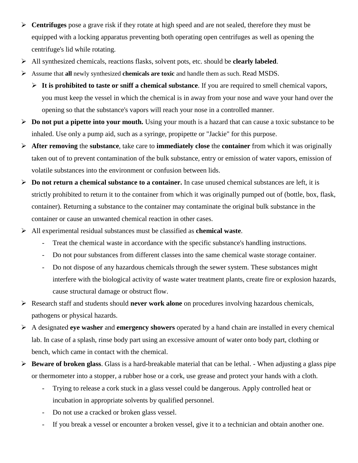- **Centrifuges** pose a grave risk if they rotate at high speed and are not sealed, therefore they must be equipped with a locking apparatus preventing both operating open centrifuges as well as opening the centrifuge's lid while rotating.
- All synthesized chemicals, reactions flasks, solvent pots, etc. should be **clearly labeled**.
- Assume that **all** newly synthesized **chemicals are toxic** and handle them as such. Read MSDS.
	- $\triangleright$  It is prohibited to taste or sniff a chemical substance. If you are required to smell chemical vapors, you must keep the vessel in which the chemical is in away from your nose and wave your hand over the opening so that the substance's vapors will reach your nose in a controlled manner.
- **Do not put a pipette into your mouth.** Using your mouth is a hazard that can cause a toxic substance to be inhaled. Use only a pump aid, such as a syringe, propipette or "Jackie" for this purpose.
- **After removing** the **substance**, take care to **immediately close** the **container** from which it was originally taken out of to prevent contamination of the bulk substance, entry or emission of water vapors, emission of volatile substances into the environment or confusion between lids.
- **Do not return a chemical substance to a container.** In case unused chemical substances are left, it is strictly prohibited to return it to the container from which it was originally pumped out of (bottle, box, flask, container). Returning a substance to the container may contaminate the original bulk substance in the container or cause an unwanted chemical reaction in other cases.
- All experimental residual substances must be classified as **chemical waste**.
	- Treat the chemical waste in accordance with the specific substance's handling instructions.
	- Do not pour substances from different classes into the same chemical waste storage container.
	- Do not dispose of any hazardous chemicals through the sewer system. These substances might interfere with the biological activity of waste water treatment plants, create fire or explosion hazards, cause structural damage or obstruct flow.
- Research staff and students should **never work alone** on procedures involving hazardous chemicals, pathogens or physical hazards.
- A designated **eye washer** and **emergency showers** operated by a hand chain are installed in every chemical lab. In case of a splash, rinse body part using an excessive amount of water onto body part, clothing or bench, which came in contact with the chemical.
- **Beware of broken glass**. Glass is a hard-breakable material that can be lethal. When adjusting a glass pipe or thermometer into a stopper, a rubber hose or a cork, use grease and protect your hands with a cloth.
	- Trying to release a cork stuck in a glass vessel could be dangerous. Apply controlled heat or incubation in appropriate solvents by qualified personnel.
	- Do not use a cracked or broken glass vessel.
	- If you break a vessel or encounter a broken vessel, give it to a technician and obtain another one.